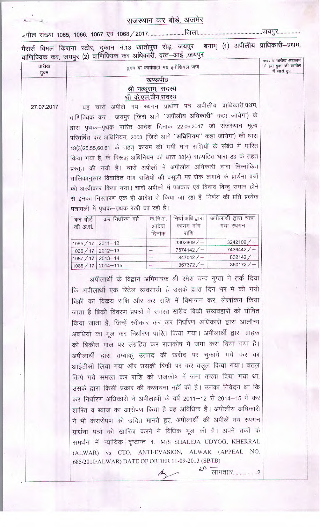## राजस्थान कर बोर्ड, अजमेर

.<br>मैसर्स विमल किराना स्टोर, दुकान नं.13 खातीपुरा रोड़, जयपुर बनाम् (1) अपीलीय प्राधिकारी—प्रथम,<br>वाणिज्यिक कर, जयपुर (2) वाणिज्यिक कर अधिकारी, वृत्त—आई ,जयपुर

| तारीख<br>हुक्म | हुक्म या कार्यवाही मय इनीशियल जज                                                               | नम्बर व ताराख अहकाम<br>जो इस हुक्म की तामील<br>में जारी हुए |
|----------------|------------------------------------------------------------------------------------------------|-------------------------------------------------------------|
|                | खण्डपीठ                                                                                        |                                                             |
|                | श्री नत्थूराम, सदस्य                                                                           |                                                             |
|                | श्री के.एल.जैन,सदस्य                                                                           |                                                             |
| 27.07.2017     | यह चारों अपीलें मय स्थगन प्रार्थना पत्र अपीलीय प्राधिकारी,प्रथम,                               |                                                             |
|                | वाणिज्यिक कर , जयपुर (जिसे आगे "अपीलीय अधिकारी" कहा जायेगा) के                                 |                                                             |
|                | द्वारा पृथक–पृथक पारित आदेश दिनांक 22.06.2017 जो राजस्थान मूल्य                                |                                                             |
|                | परिवर्धित कर अधिनियम, 2003 (जिसे आगे "अधिनियम" कहा जायेगा) की धारा                             |                                                             |
|                | 18(3)25,55,60,61 के तहत् कायम की गयी मांग राशियों के संबंध में पारित                           |                                                             |
|                | किया गया है, के विरूद्ध अधिनियम की धारा 38(4) सहपठित धारा 83 के तहत                            |                                                             |
|                |                                                                                                |                                                             |
|                | प्रस्तुत की गयी है। चारों अपीलों में अपीलीय अधिकारी द्वारा निम्नांकित                          |                                                             |
|                | तालिकानुसार विवादित मांग राशियों की वसूली पर रोक लगाने के प्रार्थना पत्रों                     |                                                             |
|                | को अस्वीकार किया गया। चारों अपीलों में पक्षकार एवं विवाद बिन्दु समान होने                      |                                                             |
|                | से इनका निस्तारण एक ही आदेश से किया जा रहा है, निर्णय की प्रति प्रत्येक                        |                                                             |
|                | पत्रावली में पृथक–पृथक रखी जा रही है।                                                          |                                                             |
|                | अपीलार्थी द्वारा चाहा<br>निर्धा.अधि.द्वारा<br>कर निर्धारण वर्ष<br>क.नि.अ.<br>कर बोर्ड          |                                                             |
|                | कायम मांग<br>आदेश<br>गया स्थगन<br>की अ.सं.                                                     |                                                             |
|                | राशि<br>दिनांक                                                                                 |                                                             |
|                | 3242109/<br>3302809/<br>1065 / 17<br>$2011 - 12$<br>-<br>7436442/                              |                                                             |
|                | $7574142 / -$<br>1066 / 17<br>$2012 - 13$<br>-<br>832142/<br>847042/<br>1067/17<br>$2013 - 14$ |                                                             |
|                | 367372/<br>360172/<br>1068/17<br>$2014 - 115$<br>-                                             |                                                             |
|                |                                                                                                |                                                             |
|                | अपीलार्थी के विद्वान अभिभाषक श्री रमेश चन्द गुप्ता ने तर्क दिया                                |                                                             |
|                | कि अपीलार्थी एक रिटेल व्यवसायी है उसके द्वारा दिन भर में की गयी                                |                                                             |
|                | बिक्री का विकय राशि और कर राशि में विभाजन कर, लेखांकन किया                                     |                                                             |
|                | जाता है बिकी विवरण प्रपत्रों में समस्त खरीद बिकी संव्यवहारों को घोषित                          |                                                             |
|                | किया जाता है, जिन्हें स्वीकार कर कर निर्धारण अधिकारी द्वारा आलौच्य                             |                                                             |
|                | अवधियों का मूल कर निर्धारण पारित किया गया। अपीलार्थी द्वारा ग्राहक                             |                                                             |
|                | को बिकीत माल पर संग्रहित कर राजकोष में जमा करा दिया गया है।                                    |                                                             |
|                |                                                                                                |                                                             |
|                | अपीलार्थी द्वारा तम्बाकू उत्पाद की खरीद पर चुकाये गये कर का                                    |                                                             |
|                | आईटीसी लिया गया और उसकी बिकी पर कर वसूल किया गया। वसूल                                         |                                                             |
|                | किये गये समस्त कर राशि को राजकोष में जमा करवा दिया गया था,                                     |                                                             |
|                | उसके द्वारा किसी प्रकार की करवंचना नहीं की है। उनका निवेदन था कि                               |                                                             |
|                | कर निर्धारण अधिकारी ने अपीलार्थी के वर्ष 2011-12 से 2014-15 में कर                             |                                                             |
|                | शारित व ब्याज का आरोपण किया है वह अविधिक है। अपीलीय अधिकारी                                    |                                                             |
|                |                                                                                                |                                                             |
|                | ने भी करारोपण को उचित मानते हुए, अपीलार्थी की अपीलें मय स्थगन                                  |                                                             |
|                | प्रार्थना पत्रों को खारिज करने में विधिक भूल की है। अपने तर्कों के                             |                                                             |
|                | समर्थन में न्यायिक दृष्टान्त 1. M/S SHALEJA UDYOG, KHERRAL                                     |                                                             |
|                | (ALWAR) vs CTO, ANTI-EVASION, ALWAR (APPEAL NO.                                                |                                                             |
|                | 685/2010/ALWAR) DATE OF ORDER 11-09-2013 (SBTB)                                                |                                                             |
|                | .<br>लागताार                                                                                   |                                                             |
|                |                                                                                                |                                                             |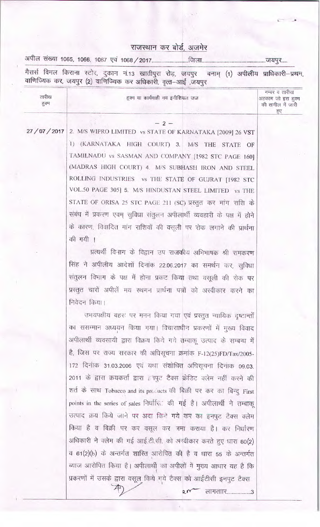## राजस्थान कर बोर्ड, अजमेर

मैसर्स विमल किराना स्टोर, दुकान नं.13 खातीपुरा रोड़, जयपुर बनाम् (1) अपी<mark>ली</mark>य प्राधिकारी–प्रथम,<br>वाणिज्यिक कर, जयपुर (2) वाणिज्यिक कर अधिकारी, वृत्त-आई ,जयपुर

| तारीख<br>हुक्म | हुक्म या कार्यवाही मय इनीशियल जज                                                     | नम्बर व तारीख<br>अहकाम जो इस हक्म<br>की तामील में जारी<br>हुए |
|----------------|--------------------------------------------------------------------------------------|---------------------------------------------------------------|
|                | $-2-$                                                                                |                                                               |
| 27/07/2017     | 2. M/S WIPRO LIMITED vs STATE OF KARNATAKA [2009] 26 VST                             |                                                               |
|                | 1) (KARNATAKA HIGH COURT) 3. M/S THE STATE OF                                        |                                                               |
|                | TAMILNADU vs SASMAN AND COMPANY [1982 STC PAGE 160]                                  |                                                               |
|                | (MADRAS HIGH COURT) 4. M/S SUBHASH IRON AND STEEL                                    |                                                               |
|                | ROLLING INDUSTRIES vs THE STATE OF GUJRAT [1982 STC                                  |                                                               |
|                | VOL.50 PAGE 305] 5. M/S HINDUSTAN STEEL LIMITED vs THE                               |                                                               |
|                | STATE OF ORISA 25 STC PAGE 211 (SC) प्रस्तुत कर मांग राशि के                         |                                                               |
|                | संबंध में प्रकरण एवम् सुविधा संतुलन अपीलार्थी व्यवहारी के पक्ष में होने              |                                                               |
|                | के कारण, विवादित मांग राशियों की वसूली पर रोक लगाने की प्रार्थना<br>की गयी ।         |                                                               |
|                | प्रत्यर्थी विभाग के विद्वान उप राजकीय अभिभाषक श्री रामकरण                            |                                                               |
|                | सिंह ने अपीलीय आदेशों दिनांक 22.06.2017 का समर्थन कर, सुविधा                         |                                                               |
|                | संतुलन विभाग के पक्ष में होना प्रकट किया तथा वसूली की रोक पर                         |                                                               |
|                | प्रस्तुत चारों अपीलें मय स्थगन प्रार्थना पत्रों को अस्वीकार करने का                  |                                                               |
|                | निवेदन किया।                                                                         |                                                               |
|                | उभयपक्षीय बहस पर मनन किया गया एवं प्रस्तुत न्यायिक दृष्टान्तों                       |                                                               |
|                | का ससम्मान अध्ययन किया गया। विचारााधीन प्रकरणों में मुख्य विवाद                      |                                                               |
|                | अपीलार्थी व्यवसायी द्वारा विक्रय किये गये तम्बाकू उत्पाद के सम्बन्ध में              |                                                               |
|                | है, जिस पर राज्य सरकार की अधिसूचना क्रमांक F-12(25)FD/Tax/2005-                      |                                                               |
|                | 172 दिनांक 31.03.2006 एवं यथा संशोधित अधिराूचना दिनांक 09.03.                        |                                                               |
|                | 2011 के द्वारा क्रयकर्ता द्वारा अनपुट टैक्स क्रेडिट क्लेम नहीं करने की               |                                                               |
|                | शर्त के साथ Tobacco and its products की बिक्री पर कर का बिन्दु First                 |                                                               |
|                | points in the series of sales निर्धारित की गई है। अपीलार्थी ने तम्बाकू               |                                                               |
|                | उत्पाद क्रय किये जाने पर अदा किएं गये कर का इनपुट टैक्स क्लेम                        |                                                               |
|                | किया है व बिक्री पर कर वसूल कर जमा कराया है। कर निर्धारण                             |                                                               |
|                |                                                                                      |                                                               |
|                | अधिकारी ने क्लेम की गई आई.टी.सी. को अस्वीकार करते हुए धारा 60(2)                     |                                                               |
|                | व 61(2)(b) के अन्तर्गत शास्ति आरोपित की है व धारा 55 के अन्तर्गत                     |                                                               |
|                | ब्याज आरोपित किया है। अपीलार्थी का अपीलों में मुख्य आधार यह है कि                    |                                                               |
|                | प्रकरणों में उसके द्वारा वसूल किये गये टैक्स को आईटीसी इनपुट टैक्स<br>लागताार3<br>2r |                                                               |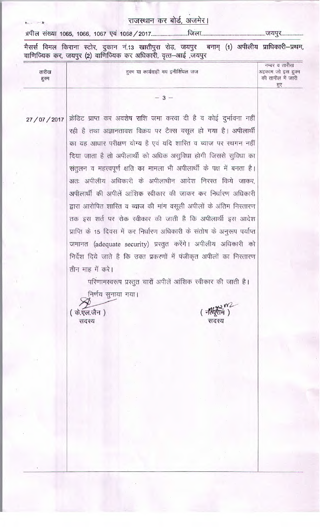मैसर्स विमल किराना स्टोर, दुकान नं.13 खातीपुरा रोड़, जयपुर बनाम् (1) अपीलीय प्राधिकारी–प्रथम, वाणिज्यिक कर, जयपुर (2) वाणिज्यिक कर अधिकारी, वृत्त-आई ,जयपुर

नम्बर व तारीख तारीख हुक्म या कार्यवाही मय इनीशियल जज अहकाम जो इस हुक्म की तामील में जारी हुक्म 罗  $-3-$ क्रेडिट प्राप्त कर अवशेष राशि जमा करवा दी है व कोई दुर्भावना नहीं 27/07/2017 रही है तथा अज्ञानतावश विक्रय पर टैक्स वसूल हो गया है। अपीलार्थी का यह आधार परीक्षण योग्य है एवं यदि शारित व ब्याज पर स्थगन नहीं दिया जाता है तो अपीलार्थी को अधिक असुविधा होगी जिससे सुविधा का संतुलन व महत्त्वपूर्ण क्षति का मामला भी अपीलार्थी के पक्ष में बनता है। अतः अपीलीय अधिकारी के अपीलाधीन आदेश निरस्त किये जाकर, अपीलार्थी की अपीलें आंशिक स्वीकार की जाकर कर निर्धारण अधिकारी द्वारा आरोपित शारित व ब्याज की मांग वसूली अपीलों के अंतिम निस्तारण तक इस शर्त पर रोक स्वीकार की जाती है कि अपीलार्थी इस आदेश प्राप्ति के 15 दिवस में कर निर्धारण अधिकारी के संतोष के अनुरूप पर्याप्त जमानत (adequate security) प्रस्तुत करेंगे। अपीलीय अधिकारी को निर्देश दिये जाते है कि उक्त प्रकरणों में पंजीकृत अपीलों का निस्तारण तीन माह में करे। परिणामस्वरूप प्रस्तुत चारों अपीलें आंशिक स्वीकार की जाती है। निर्णय सुनाया गया। (नर्शिराम) ( के.एल.जैन) सदस्य सदस्य

 $1 - 1$